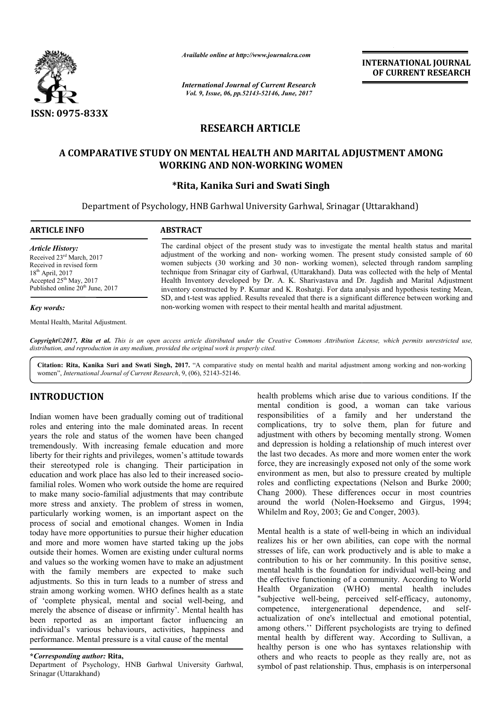

*Available online at http://www.journalcra.com*

*International Journal of Current Research Vol. 9, Issue, 06, pp.52143-52146, June, 2017*

**INTERNATIONAL JOURNAL OF CURRENT RESEARCH** 

# **RESEARCH ARTICLE**

# **A COMPARATIVE STUDY ON MENTAL HEALTH AND MARITAL ADJUSTMENT AMONG ON MENTAL AND MARITAL ADJUSTMENT AMONGWORKING AND NON NON-WORKING WOMEN**

# **\*Rita, Kanika Suri and Swati Singh**

Department of Psychology, HNB Garhwal University Garhwal, Srinagar (Uttarakhand)

| <b>ARTICLE INFO</b>                                                                                                                                                                                      | <b>ABSTRACT</b>                                                                                                                                                                                                                                                                                                                                                                                                                                                                                                                                                                                                                                                                                                                                                                                |  |  |  |  |
|----------------------------------------------------------------------------------------------------------------------------------------------------------------------------------------------------------|------------------------------------------------------------------------------------------------------------------------------------------------------------------------------------------------------------------------------------------------------------------------------------------------------------------------------------------------------------------------------------------------------------------------------------------------------------------------------------------------------------------------------------------------------------------------------------------------------------------------------------------------------------------------------------------------------------------------------------------------------------------------------------------------|--|--|--|--|
| <b>Article History:</b><br>Received 23rd March, 2017<br>Received in revised form<br>$18th$ April, 2017<br>Accepted $25th$ May, 2017<br>Published online 20 <sup>th</sup> June, 2017<br><b>Key words:</b> | The cardinal object of the present study was to investigate the mental health status and marital<br>adjustment of the working and non-working women. The present study consisted sample of 60<br>women subjects (30 working and 30 non- working women), selected through random sampling<br>technique from Srinagar city of Garhwal, (Uttarakhand). Data was collected with the help of Mental<br>Health Inventory developed by Dr. A. K. Sharivastava and Dr. Jagdish and Marital Adjustment<br>inventory constructed by P. Kumar and K. Roshatgi. For data analysis and hypothesis testing Mean,<br>SD, and t-test was applied. Results revealed that there is a significant difference between working and<br>non-working women with respect to their mental health and marital adjustment. |  |  |  |  |

Mental Health, Marital Adjustment.

*Copyright©2017, Rita et al. This is an open access article distributed under the Creative Commons Att Attribution License, which ribution permits unrestricted use, distribution, and reproduction in any medium, provided the original work is properly cited.*

Citation: Rita, Kanika Suri and Swati Singh, 2017. "A comparative study on mental health and marital adjustment among working and non-working women", *International Journal of Current Research*, 9, (06), 52143-52146.

# **INTRODUCTION**

Indian women have been gradually coming out of traditional roles and entering into the male dominated areas. In recent years the role and status of the women have been changed tremendously. With increasing female education and more liberty for their rights and privileges, women's attitude towards their stereotyped role is changing. Their participation in education and work place has also led to their increased sociofamilial roles. Women who work outside the home are required to make many socio-familial adjustments that may contribute more stress and anxiety. The problem of stress in women, particularly working women, is an important aspect on the process of social and emotional changes. Women in India today have more opportunities to pursue their higher education and more and more women have started taking up the jobs outside their homes. Women are existing under cultural norms and values so the working women have to make an adjustment with the family members are expected to make such adjustments. So this in turn leads to a number of stress and strain among working women. WHO defines health as a state of 'complete physical, mental and social well well-being, and merely the absence of disease or infirmity'. Mental health has been reported as an important factor inf influencing an individual's various behaviours, activities, happiness and performance. Mental pressure is a vital cause of the mental ustments that may contribute<br>roblem of stress in women,<br>an important aspect on the<br>1 changes. Women in India

### **\****Corresponding author:* **Rita,**

Department of Psychology, HNB Garhwal University Garhwal, Srinagar (Uttarakhand)

health problems which arise due to various conditions. If the mental condition is good, a woman can take various responsibilities of a family and her understand the complications, try to solve them, plan for future and adjustment with others by becoming mentally strong. Women and depression is holding a relationship of much interest over the last two decades. As more and more women enter the work force, they are increasingly exposed not only of the some work and depression is holding a relationship of much interest over the last two decades. As more and more women enter the work force, they are increasingly exposed not only of the some work environment as men, but also to pres roles and conflicting expectations (Nelson and Burke 2000; roles and conflicting expectations (Nelson and Burke 2000; Chang 2000). These differences occur in most countries around the world (Nolen-Hoeksemo and Girgus, 1994; Whilelm and Roy, 2003; Ge and Conger, 2003). around the world (Nolen-Hoeksemo and Girgus, 1994;<br>Whilelm and Roy, 2003; Ge and Conger, 2003).<br>Mental health is a state of well-being in which an individual roblems which arise due to various conditions. If the condition is good, a woman can take various bilities of a family and her understand the tutions, try to solve them, plan for future and ent with others by becoming ment

realizes his or her own abilities, can cope with the normal stresses of life, can work productively and is able to make a contribution to his or her community. In this positive sense, mental health is the foundation for individual well the effective functioning of a community. According to World Health Organization (WHO) mental health includes the effective functioning of a community. According to World<br>
Health Organization (WHO) mental health includes<br>
"subjective well-being, perceived self-efficacy, autonomy, competence, intergenerational dependence, and selfactualization of one's intellectual and emotional potential, among others.'' Different psychologists are trying to defined mental health by different way. According to Sullivan, a healthy person is one who has syntaxes relationship with actualization of one's intellectual and emotional potential, among others." Different psychologists are trying to defined mental health by different way. According to Sullivan, a healthy person is one who has syntaxes rela symbol of past relationship. Thus, emphasis is on interpersonal his or her own abilities, can cope with the normal<br>of life, can work productively and is able to make a<br>tion to his or her community. In this positive sense,<br>ealth is the foundation for individual well-being and INTERNATIONAL JOURNAL<br>
OF CURRENT RESEARCH<br>
OF CURRENT RESEARCH<br>
TO CURRENT RESEARCH<br>
TO CURRENT RESEARCH<br>
THE mental health status and marita<br>
tresent study consisted sample of 60<br>
was collected with the help of Menta<br>
Dr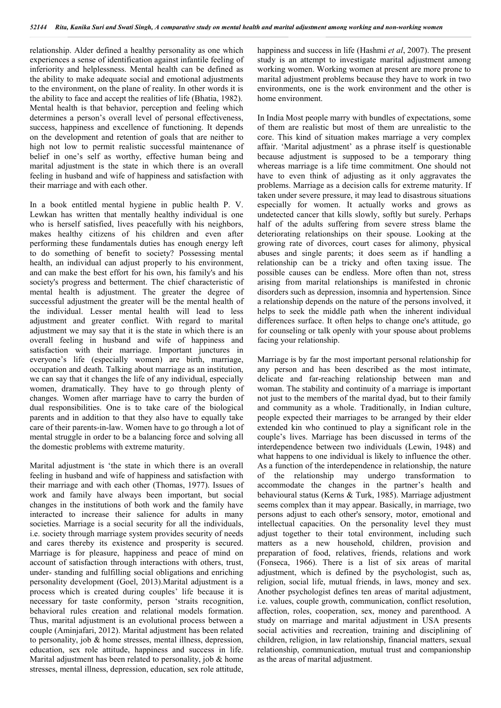relationship. Alder defined a healthy personality as one which experiences a sense of identification against infantile feeling of inferiority and helplessness. Mental health can be defined as the ability to make adequate social and emotional adjustments to the environment, on the plane of reality. In other words it is the ability to face and accept the realities of life (Bhatia, 1982). Mental health is that behavior, perception and feeling which determines a person's overall level of personal effectiveness, success, happiness and excellence of functioning. It depends on the development and retention of goals that are neither to high not low to permit realistic successful maintenance of belief in one's self as worthy, effective human being and marital adjustment is the state in which there is an overall feeling in husband and wife of happiness and satisfaction with their marriage and with each other.

In a book entitled mental hygiene in public health P. V. Lewkan has written that mentally healthy individual is one who is herself satisfied, lives peacefully with his neighbors, makes healthy citizens of his children and even after performing these fundamentals duties has enough energy left to do something of benefit to society? Possessing mental health, an individual can adjust properly to his environment, and can make the best effort for his own, his family's and his society's progress and betterment. The chief characteristic of mental health is adjustment. The greater the degree of successful adjustment the greater will be the mental health of the individual. Lesser mental health will lead to less adjustment and greater conflict. With regard to marital adjustment we may say that it is the state in which there is an overall feeling in husband and wife of happiness and satisfaction with their marriage. Important junctures in everyone's life (especially women) are birth, marriage, occupation and death. Talking about marriage as an institution, we can say that it changes the life of any individual, especially women, dramatically. They have to go through plenty of changes. Women after marriage have to carry the burden of dual responsibilities. One is to take care of the biological parents and in addition to that they also have to equally take care of their parents-in-law. Women have to go through a lot of mental struggle in order to be a balancing force and solving all the domestic problems with extreme maturity.

Marital adjustment is 'the state in which there is an overall feeling in husband and wife of happiness and satisfaction with their marriage and with each other (Thomas, 1977). Issues of work and family have always been important, but social changes in the institutions of both work and the family have interacted to increase their salience for adults in many societies. Marriage is a social security for all the individuals, i.e. society through marriage system provides security of needs and cares thereby its existence and prosperity is secured. Marriage is for pleasure, happiness and peace of mind on account of satisfaction through interactions with others, trust, under- standing and fulfilling social obligations and enriching personality development (Goel, 2013).Marital adjustment is a process which is created during couples' life because it is necessary for taste conformity, person 'straits recognition, behavioral rules creation and relational models formation. Thus, marital adjustment is an evolutional process between a couple (Aminjafari, 2012). Marital adjustment has been related to personality, job & home stresses, mental illness, depression, education, sex role attitude, happiness and success in life. Marital adjustment has been related to personality, job & home stresses, mental illness, depression, education, sex role attitude,

happiness and success in life (Hashmi *et al*, 2007). The present study is an attempt to investigate marital adjustment among working women. Working women at present are more prone to marital adjustment problems because they have to work in two environments, one is the work environment and the other is home environment.

In India Most people marry with bundles of expectations, some of them are realistic but most of them are unrealistic to the core. This kind of situation makes marriage a very complex affair. 'Marital adjustment' as a phrase itself is questionable because adjustment is supposed to be a temporary thing whereas marriage is a life time commitment. One should not have to even think of adjusting as it only aggravates the problems. Marriage as a decision calls for extreme maturity. If taken under severe pressure, it may lead to disastrous situations especially for women. It actually works and grows as undetected cancer that kills slowly, softly but surely. Perhaps half of the adults suffering from severe stress blame the deteriorating relationships on their spouse. Looking at the growing rate of divorces, court cases for alimony, physical abuses and single parents; it does seem as if handling a relationship can be a tricky and often taxing issue. The possible causes can be endless. More often than not, stress arising from marital relationships is manifested in chronic disorders such as depression, insomnia and hypertension. Since a relationship depends on the nature of the persons involved, it helps to seek the middle path when the inherent individual differences surface. It often helps to change one's attitude, go for counseling or talk openly with your spouse about problems facing your relationship.

Marriage is by far the most important personal relationship for any person and has been described as the most intimate, delicate and far-reaching relationship between man and woman. The stability and continuity of a marriage is important not just to the members of the marital dyad, but to their family and community as a whole. Traditionally, in Indian culture, people expected their marriages to be arranged by their elder extended kin who continued to play a significant role in the couple's lives. Marriage has been discussed in terms of the interdependence between two individuals (Lewin, 1948) and what happens to one individual is likely to influence the other. As a function of the interdependence in relationship, the nature of the relationship may undergo transformation to accommodate the changes in the partner's health and behavioural status (Kerns & Turk, 1985). Marriage adjustment seems complex than it may appear. Basically, in marriage, two persons adjust to each other's sensory, motor, emotional and intellectual capacities. On the personality level they must adjust together to their total environment, including such matters as a new household, children, provision and preparation of food, relatives, friends, relations and work (Fonseca, 1966). There is a list of six areas of marital adjustment, which is defined by the psychologist, such as, religion, social life, mutual friends, in laws, money and sex. Another psychologist defines ten areas of marital adjustment, i.e. values, couple growth, communication, conflict resolution, affection, roles, cooperation, sex, money and parenthood. A study on marriage and marital adjustment in USA presents social activities and recreation, training and disciplining of children, religion, in law relationship, financial matters, sexual relationship, communication, mutual trust and companionship as the areas of marital adjustment.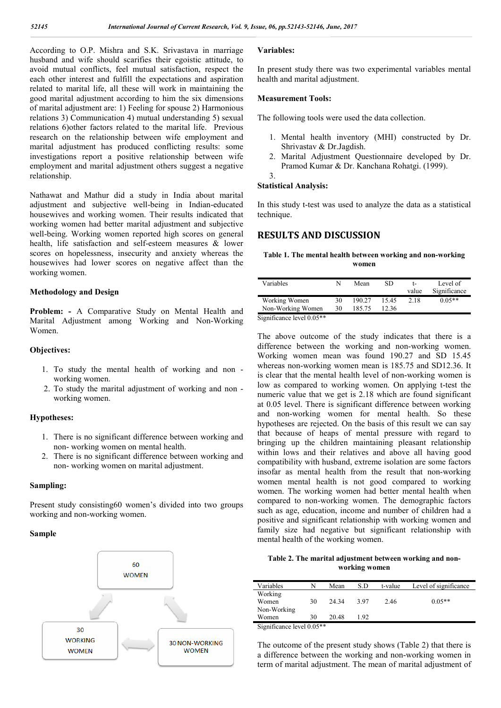According to O.P. Mishra and S.K. Srivastava in marriage husband and wife should scarifies their egoistic attitude, to avoid mutual conflicts, feel mutual satisfaction, respect the each other interest and fulfill the expectations and aspiration related to marital life, all these will work in maintaining the good marital adjustment according to him the six dimensions of marital adjustment are: 1) Feeling for spouse 2) Harmonious relations 3) Communication 4) mutual understanding 5) sexual relations 6)other factors related to the marital life. Previous research on the relationship between wife employment and marital adjustment has produced conflicting results: some investigations report a positive relationship between wife employment and marital adjustment others suggest a negative relationship.

Nathawat and Mathur did a study in India about marital adjustment and subjective well-being in Indian-educated housewives and working women. Their results indicated that working women had better marital adjustment and subjective well-being. Working women reported high scores on general health, life satisfaction and self-esteem measures & lower scores on hopelessness, insecurity and anxiety whereas the housewives had lower scores on negative affect than the working women.

#### **Methodology and Design**

**Problem: -** A Comparative Study on Mental Health and Marital Adjustment among Working and Non-Working Women.

#### **Objectives:**

- 1. To study the mental health of working and non working women.
- 2. To study the marital adjustment of working and non working women.

### **Hypotheses:**

- 1. There is no significant difference between working and non- working women on mental health.
- 2. There is no significant difference between working and non- working women on marital adjustment.

#### **Sampling:**

Present study consisting60 women's divided into two groups working and non-working women.

### **Sample**



### **Variables:**

In present study there was two experimental variables mental health and marital adjustment.

#### **Measurement Tools:**

The following tools were used the data collection.

- 1. Mental health inventory (MHI) constructed by Dr. Shrivastav & Dr.Jagdish.
- 2. Marital Adjustment Questionnaire developed by Dr. Pramod Kumar & Dr. Kanchana Rohatgi. (1999).

## **Statistical Analysis:**

3.

In this study t-test was used to analyze the data as a statistical technique.

## **RESULTS AND DISCUSSION**

**Table 1. The mental health between working and non-working women**

| Variables                          | N        | Mean             | SD.           | value | Level of<br>Significance |
|------------------------------------|----------|------------------|---------------|-------|--------------------------|
| Working Women<br>Non-Working Women | 30<br>30 | 190.27<br>185.75 | 1545<br>12.36 | 2.18  | $0.05**$                 |
| Significance level 0.05**          |          |                  |               |       |                          |

The above outcome of the study indicates that there is a difference between the working and non-working women. Working women mean was found 190.27 and SD 15.45 whereas non-working women mean is 185.75 and SD12.36. It is clear that the mental health level of non-working women is low as compared to working women. On applying t-test the numeric value that we get is 2.18 which are found significant at 0.05 level. There is significant difference between working and non-working women for mental health. So these hypotheses are rejected. On the basis of this result we can say that because of heaps of mental pressure with regard to bringing up the children maintaining pleasant relationship within lows and their relatives and above all having good compatibility with husband, extreme isolation are some factors insofar as mental health from the result that non-working women mental health is not good compared to working women. The working women had better mental health when compared to non-working women. The demographic factors such as age, education, income and number of children had a positive and significant relationship with working women and family size had negative but significant relationship with mental health of the working women.

**Table 2. The marital adjustment between working and nonworking women**

| Variables   | N  | Mean  | S.D  | t-value | Level of significance |
|-------------|----|-------|------|---------|-----------------------|
| Working     |    |       |      |         |                       |
| Women       | 30 | 24.34 | 397  | 2.46    | $0.05**$              |
| Non-Working |    |       |      |         |                       |
| Women       | 30 | 20.48 | 1.92 |         |                       |
|             |    |       |      |         |                       |

Significance level 0.05\*\*

The outcome of the present study shows (Table 2) that there is a difference between the working and non-working women in term of marital adjustment. The mean of marital adjustment of